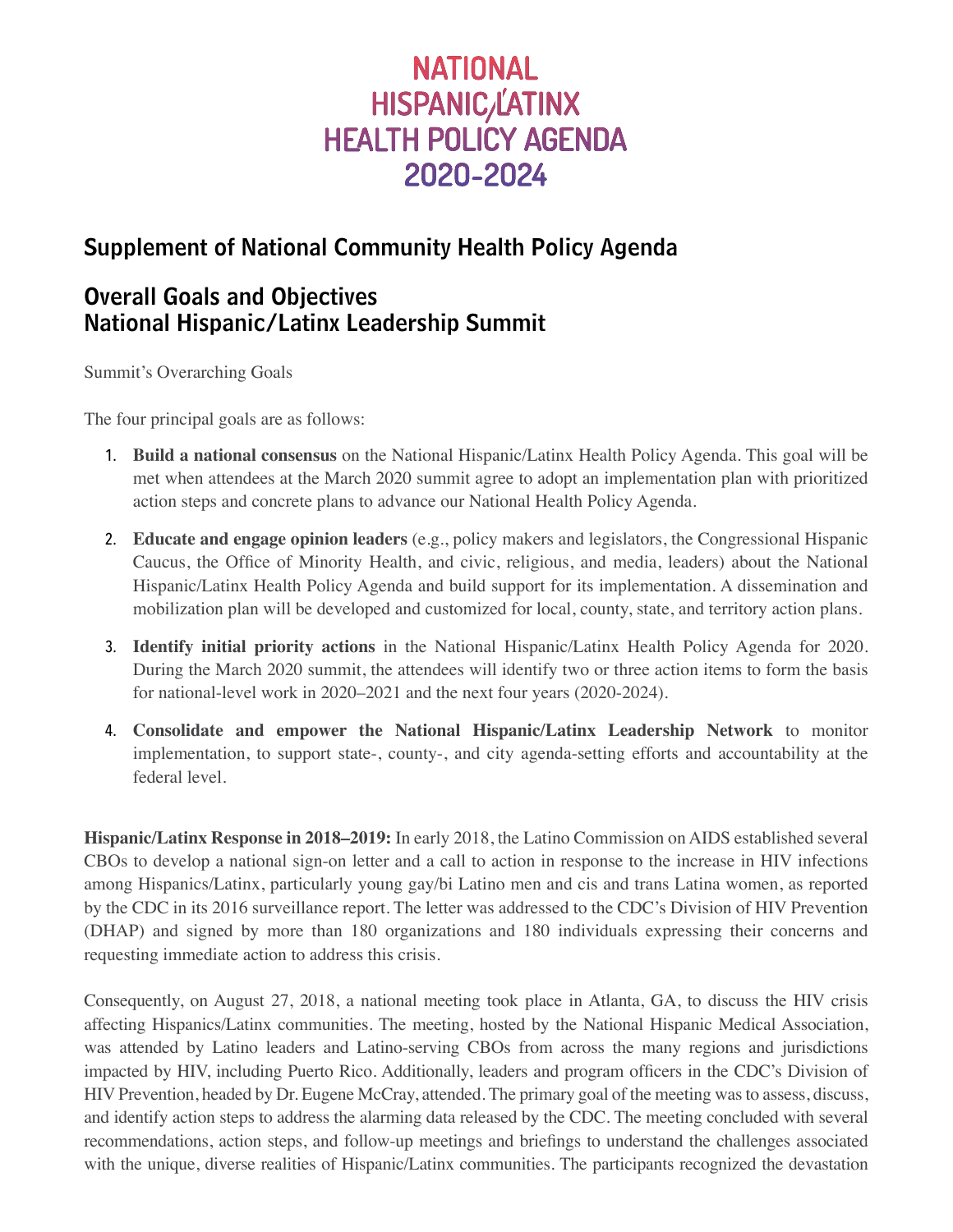# **NATIONAL HISPANIC/LATINX HEALTH POLICY AGENDA** 2020-2024

# Supplement of National Community Health Policy Agenda

## Overall Goals and Objectives National Hispanic/Latinx Leadership Summit

Summit's Overarching Goals

The four principal goals are as follows:

- 1. **Build a national consensus** on the National Hispanic/Latinx Health Policy Agenda. This goal will be met when attendees at the March 2020 summit agree to adopt an implementation plan with prioritized action steps and concrete plans to advance our National Health Policy Agenda.
- 2. **Educate and engage opinion leaders** (e.g., policy makers and legislators, the Congressional Hispanic Caucus, the Office of Minority Health, and civic, religious, and media, leaders) about the National Hispanic/Latinx Health Policy Agenda and build support for its implementation. A dissemination and mobilization plan will be developed and customized for local, county, state, and territory action plans.
- 3. **Identify initial priority actions** in the National Hispanic/Latinx Health Policy Agenda for 2020. During the March 2020 summit, the attendees will identify two or three action items to form the basis for national-level work in 2020–2021 and the next four years (2020-2024).
- 4. **Consolidate and empower the National Hispanic/Latinx Leadership Network** to monitor implementation, to support state-, county-, and city agenda-setting efforts and accountability at the federal level.

**Hispanic/Latinx Response in 2018–2019:** In early 2018, the Latino Commission on AIDS established several CBOs to develop a national sign-on letter and a call to action in response to the increase in HIV infections among Hispanics/Latinx, particularly young gay/bi Latino men and cis and trans Latina women, as reported by the CDC in its 2016 surveillance report. The letter was addressed to the CDC's Division of HIV Prevention (DHAP) and signed by more than 180 organizations and 180 individuals expressing their concerns and requesting immediate action to address this crisis.

Consequently, on August 27, 2018, a national meeting took place in Atlanta, GA, to discuss the HIV crisis affecting Hispanics/Latinx communities. The meeting, hosted by the National Hispanic Medical Association, was attended by Latino leaders and Latino-serving CBOs from across the many regions and jurisdictions impacted by HIV, including Puerto Rico. Additionally, leaders and program officers in the CDC's Division of HIV Prevention, headed by Dr. Eugene McCray, attended. The primary goal of the meeting was to assess, discuss, and identify action steps to address the alarming data released by the CDC. The meeting concluded with several recommendations, action steps, and follow-up meetings and briefings to understand the challenges associated with the unique, diverse realities of Hispanic/Latinx communities. The participants recognized the devastation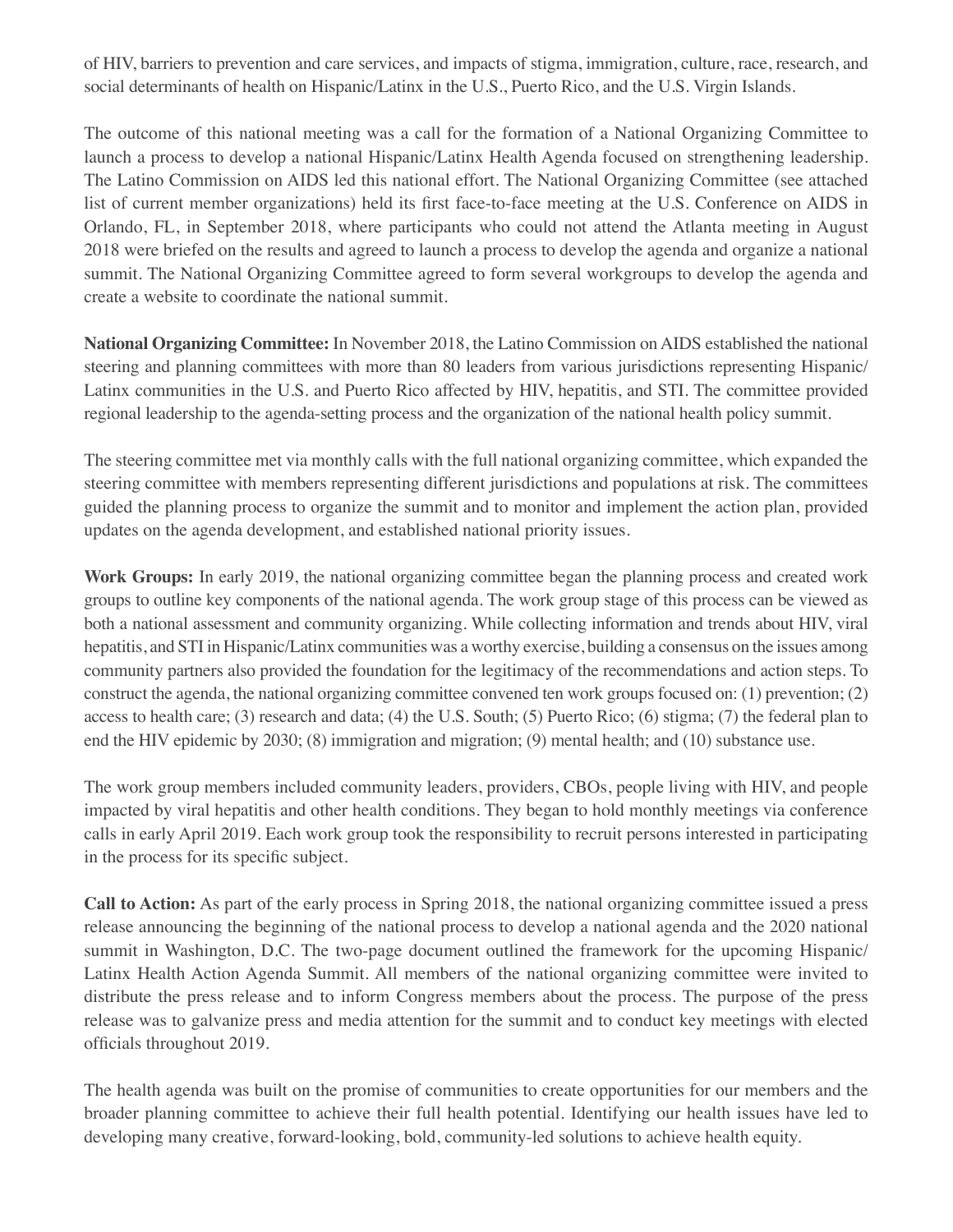of HIV, barriers to prevention and care services, and impacts of stigma, immigration, culture, race, research, and social determinants of health on Hispanic/Latinx in the U.S., Puerto Rico, and the U.S. Virgin Islands.

The outcome of this national meeting was a call for the formation of a National Organizing Committee to launch a process to develop a national Hispanic/Latinx Health Agenda focused on strengthening leadership. The Latino Commission on AIDS led this national effort. The National Organizing Committee (see attached list of current member organizations) held its first face-to-face meeting at the U.S. Conference on AIDS in Orlando, FL, in September 2018, where participants who could not attend the Atlanta meeting in August 2018 were briefed on the results and agreed to launch a process to develop the agenda and organize a national summit. The National Organizing Committee agreed to form several workgroups to develop the agenda and create a website to coordinate the national summit.

**National Organizing Committee:** In November 2018, the Latino Commission on AIDS established the national steering and planning committees with more than 80 leaders from various jurisdictions representing Hispanic/ Latinx communities in the U.S. and Puerto Rico affected by HIV, hepatitis, and STI. The committee provided regional leadership to the agenda-setting process and the organization of the national health policy summit.

The steering committee met via monthly calls with the full national organizing committee, which expanded the steering committee with members representing different jurisdictions and populations at risk. The committees guided the planning process to organize the summit and to monitor and implement the action plan, provided updates on the agenda development, and established national priority issues.

**Work Groups:** In early 2019, the national organizing committee began the planning process and created work groups to outline key components of the national agenda. The work group stage of this process can be viewed as both a national assessment and community organizing. While collecting information and trends about HIV, viral hepatitis, and STI in Hispanic/Latinx communities was a worthy exercise, building a consensus on the issues among community partners also provided the foundation for the legitimacy of the recommendations and action steps. To construct the agenda, the national organizing committee convened ten work groups focused on: (1) prevention; (2) access to health care; (3) research and data; (4) the U.S. South; (5) Puerto Rico; (6) stigma; (7) the federal plan to end the HIV epidemic by 2030; (8) immigration and migration; (9) mental health; and (10) substance use.

The work group members included community leaders, providers, CBOs, people living with HIV, and people impacted by viral hepatitis and other health conditions. They began to hold monthly meetings via conference calls in early April 2019. Each work group took the responsibility to recruit persons interested in participating in the process for its specific subject.

**Call to Action:** As part of the early process in Spring 2018, the national organizing committee issued a press release announcing the beginning of the national process to develop a national agenda and the 2020 national summit in Washington, D.C. The two-page document outlined the framework for the upcoming Hispanic/ Latinx Health Action Agenda Summit. All members of the national organizing committee were invited to distribute the press release and to inform Congress members about the process. The purpose of the press release was to galvanize press and media attention for the summit and to conduct key meetings with elected officials throughout 2019.

The health agenda was built on the promise of communities to create opportunities for our members and the broader planning committee to achieve their full health potential. Identifying our health issues have led to developing many creative, forward-looking, bold, community-led solutions to achieve health equity.